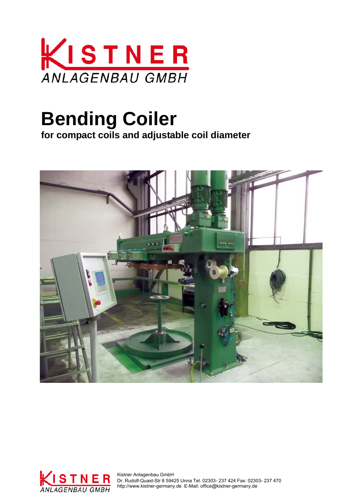

# **Bending Coiler**

**for compact coils and adjustable coil diameter**





 Dr. Rudolf-Quast-Str 8 59425 Unna Tel. 02303- 237 424 Fax: 02303- 237 470 http://www.kistner-germany.de E-Mail: office@kistner-germany.de